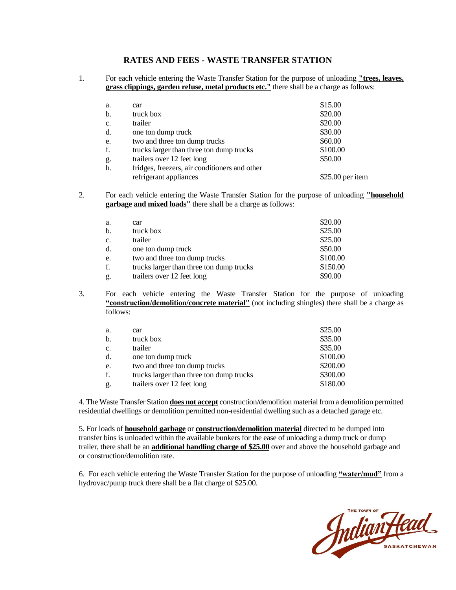## **RATES AND FEES - WASTE TRANSFER STATION**

1. For each vehicle entering the Waste Transfer Station for the purpose of unloading **"trees, leaves, grass clippings, garden refuse, metal products etc."** there shall be a charge as follows:

| a. | car                                           | \$15.00           |
|----|-----------------------------------------------|-------------------|
| b. | truck box                                     | \$20.00           |
| c. | trailer                                       | \$20.00           |
| d. | one ton dump truck                            | \$30.00           |
| e. | two and three ton dump trucks                 | \$60.00           |
| f. | trucks larger than three ton dump trucks      | \$100.00          |
| g. | trailers over 12 feet long                    | \$50.00           |
| h. | fridges, freezers, air conditioners and other |                   |
|    | refrigerant appliances                        | $$25.00$ per item |

2. For each vehicle entering the Waste Transfer Station for the purpose of unloading **"household garbage and mixed loads"** there shall be a charge as follows:

| a.             | car                                      | \$20.00  |
|----------------|------------------------------------------|----------|
| b.             | truck box                                | \$25.00  |
| $\mathbf{c}$ . | trailer                                  | \$25.00  |
| d.             | one ton dump truck                       | \$50.00  |
| e.             | two and three ton dump trucks            | \$100.00 |
| f.             | trucks larger than three ton dump trucks | \$150.00 |
| g.             | trailers over 12 feet long               | \$90.00  |

3. For each vehicle entering the Waste Transfer Station for the purpose of unloading **"construction/demolition/concrete material"** (not including shingles) there shall be a charge as follows:

| a.             | car                                      | \$25.00  |
|----------------|------------------------------------------|----------|
| b.             | truck box                                | \$35.00  |
| C <sub>1</sub> | trailer                                  | \$35.00  |
| d.             | one ton dump truck                       | \$100.00 |
| e.             | two and three ton dump trucks            | \$200.00 |
| f.             | trucks larger than three ton dump trucks | \$300.00 |
| g.             | trailers over 12 feet long               | \$180.00 |

4. The Waste Transfer Station **does not accept** construction/demolition material from a demolition permitted residential dwellings or demolition permitted non-residential dwelling such as a detached garage etc.

5. For loads of **household garbage** or **construction/demolition material** directed to be dumped into transfer bins is unloaded within the available bunkers for the ease of unloading a dump truck or dump trailer, there shall be an **additional handling charge of \$25.00** over and above the household garbage and or construction/demolition rate.

6. For each vehicle entering the Waste Transfer Station for the purpose of unloading **"water/mud"** from a hydrovac/pump truck there shall be a flat charge of \$25.00.